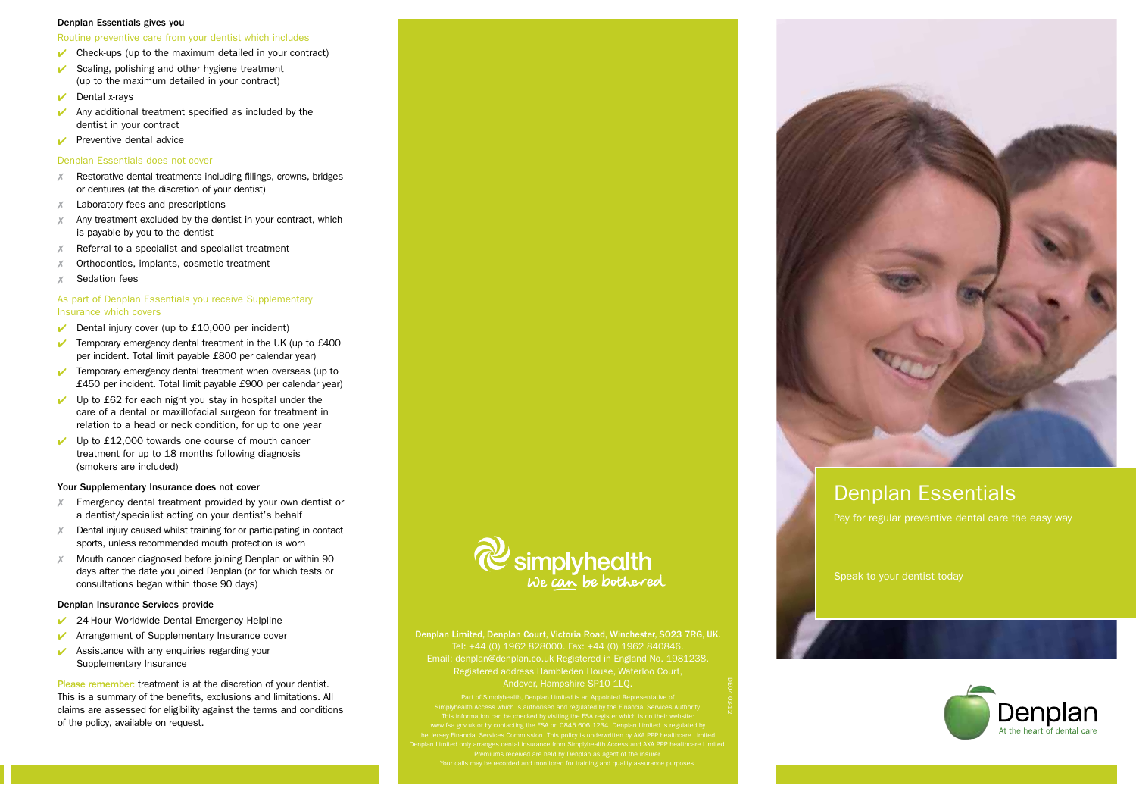#### Denplan Essentials gives you

Routine preventive care from your dentist which includes

- $\triangleright$  Check-ups (up to the maximum detailed in your contract)
- $\vee$  Scaling, polishing and other hygiene treatment (up to the maximum detailed in your contract)
- $\triangleright$  Dental x-rays
- Any additional treatment specified as included by the dentist in your contract
- $\triangleright$  Preventive dental advice

## Denplan Essentials does not cover

- Restorative dental treatments including fillings, crowns, bridges or dentures (at the discretion of your dentist)
- Laboratory fees and prescriptions
- $X$  Any treatment excluded by the dentist in your contract, which is payable by you to the dentist
- Referral to a specialist and specialist treatment
- Orthodontics, implants, cosmetic treatment
- Sedation fees

# As part of Denplan Essentials you receive Supplementary Insurance which covers

- $\triangleright$  Dental injury cover (up to £10,000 per incident)
- $\sqrt{\phantom{a}}$  Temporary emergency dental treatment in the UK (up to £400 per incident. Total limit payable £800 per calendar year)
- $\triangleright$  Temporary emergency dental treatment when overseas (up to £450 per incident. Total limit payable £900 per calendar year)
- $\vee$  Up to £62 for each night you stay in hospital under the care of a dental or maxillofacial surgeon for treatment in relation to a head or neck condition, for up to one year
- Up to £12,000 towards one course of mouth cancer treatment for up to 18 months following diagnosis (smokers are included)

## Your Supplementary Insurance does not cover

- $X$  Emergency dental treatment provided by your own dentist or a dentist/specialist acting on your dentist's behalf
- $X$  Dental injury caused whilst training for or participating in contact sports, unless recommended mouth protection is worn
- $X$  Mouth cancer diagnosed before joining Denplan or within 90 days after the date you joined Denplan (or for which tests or consultations began within those 90 days)

## Denplan Insurance Services provide

- $\vee$  24-Hour Worldwide Dental Emergency Helpline
- ↓ Arrangement of Supplementary Insurance cover
- $\vee$  Assistance with any enquiries regarding your Supplementary Insurance

Please remember: treatment is at the discretion of your dentist. This is a summary of the benefits, exclusions and limitations. All claims are assessed for eligibility against the terms and conditions of the policy, available on request.



Denplan Limited, Denplan Court, Victoria Road, Winchester, SO23 7RG, UK. Tel: +44 (0) 1962 828000. Fax: +44 (0) 1962 840846. Email: denplan@denplan.co.uk Registered in England No. 1981238. Registered address Hambleden House, Waterloo Court, Andover, Hampshire SP10 1LQ.

can be checked by visiting the FSA register which is on their website:

DE04 03-12



# Denplan Essentials

Pay for regular preventive dental care the easy way

Speak to your dentist today